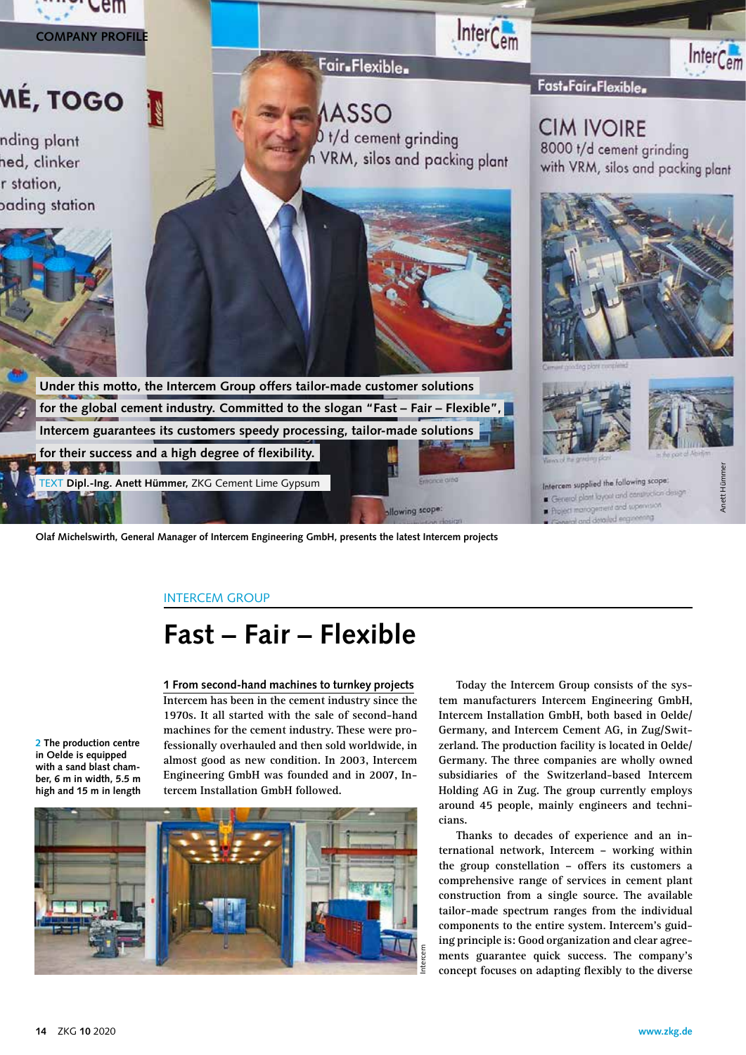

**Olaf Michelswirth, General Manager of Intercem Engineering GmbH, presents the latest Intercem projects**

## INTERCEM GROUP

# **Fast – Fair – Flexible**

**1 From second-hand machines to turnkey projects Intercem has been in the cement industry since the 1970s. It all started with the sale of second-hand machines for the cement industry. These were professionally overhauled and then sold worldwide, in almost good as new condition. In 2003, Intercem Engineering GmbH was founded and in 2007, Intercem Installation GmbH followed.**

**2 The production centre in Oelde is equipped with a sand blast chamber, 6 m in width, 5.5 m high and 15 m in length**



**Today the Intercem Group consists of the system manufacturers Intercem Engineering GmbH, Intercem Installation GmbH, both based in Oelde/ Germany, and Intercem Cement AG, in Zug/Switzerland. The production facility is located in Oelde/ Germany. The three companies are wholly owned subsidiaries of the Switzerland-based Intercem Holding AG in Zug. The group currently employs around 45 people, mainly engineers and technicians.** 

**Thanks to decades of experience and an international network, Intercem – working within the group constellation – offers its customers a comprehensive range of services in cement plant construction from a single source. The available tailor-made spectrum ranges from the individual components to the entire system. Intercem's guiding principle is: Good organization and clear agreements guarantee quick success. The company's concept focuses on adapting flexibly to the diverse**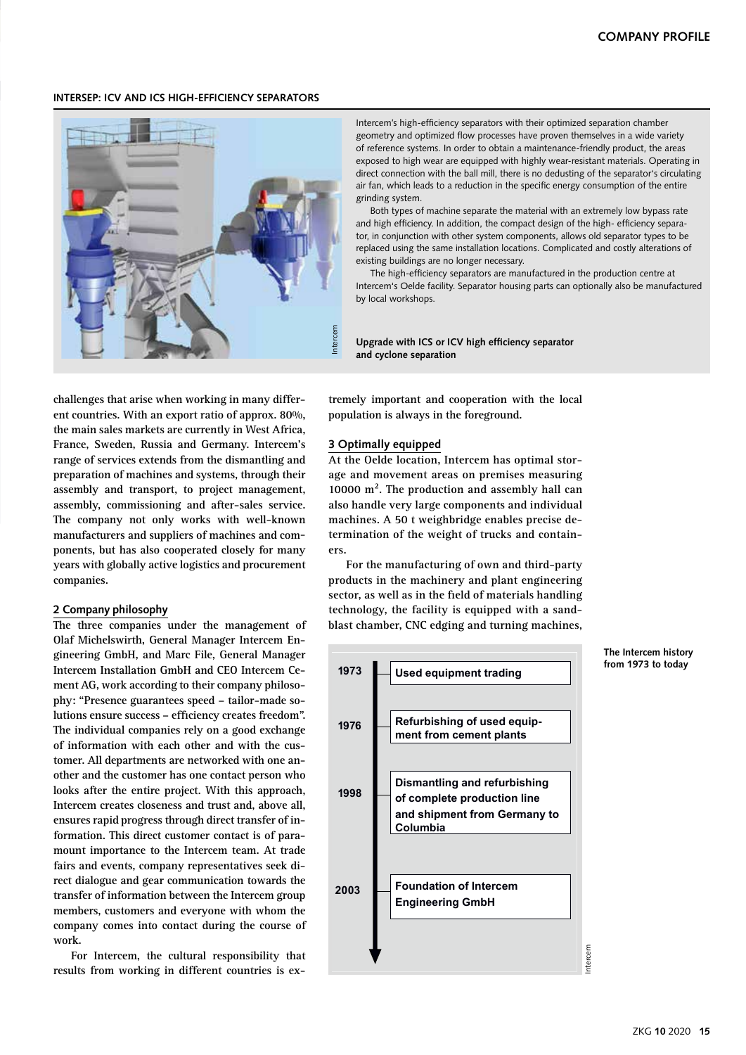### **INTERSEP: ICV AND ICS HIGH-EFFICIENCY SEPARATORS**



Intercem's high-efficiency separators with their optimized separation chamber geometry and optimized flow processes have proven themselves in a wide variety of reference systems. In order to obtain a maintenance-friendly product, the areas exposed to high wear are equipped with highly wear-resistant materials. Operating in direct connection with the ball mill, there is no dedusting of the separator's circulating air fan, which leads to a reduction in the specific energy consumption of the entire grinding system.

Both types of machine separate the material with an extremely low bypass rate and high efficiency. In addition, the compact design of the high- efficiency separator, in conjunction with other system components, allows old separator types to be replaced using the same installation locations. Complicated and costly alterations of existing buildings are no longer necessary.

The high-efficiency separators are manufactured in the production centre at Intercem's Oelde facility. Separator housing parts can optionally also be manufactured by local workshops.

**Upgrade with ICS or ICV high efficiency separator and cyclone separation**

**challenges that arise when working in many different countries. With an export ratio of approx. 80%, the main sales markets are currently in West Africa, France, Sweden, Russia and Germany. Intercem's range of services extends from the dismantling and preparation of machines and systems, through their assembly and transport, to project management, assembly, commissioning and after-sales service. The company not only works with well-known manufacturers and suppliers of machines and components, but has also cooperated closely for many years with globally active logistics and procurement companies.**

### **2 Company philosophy**

**The three companies under the management of Olaf Michelswirth, General Manager Intercem Engineering GmbH, and Marc File, General Manager Intercem Installation GmbH and CEO Intercem Cement AG, work according to their company philosophy: "Presence guarantees speed – tailor-made solutions ensure success – efficiency creates freedom". The individual companies rely on a good exchange of information with each other and with the customer. All departments are networked with one another and the customer has one contact person who looks after the entire project. With this approach, Intercem creates closeness and trust and, above all, ensures rapid progress through direct transfer of information. This direct customer contact is of paramount importance to the Intercem team. At trade fairs and events, company representatives seek direct dialogue and gear communication towards the transfer of information between the Intercem group members, customers and everyone with whom the company comes into contact during the course of work.** 

**For Intercem, the cultural responsibility that results from working in different countries is ex-** **tremely important and cooperation with the local population is always in the foreground.** 

### **3 Optimally equipped**

**At the Oelde location, Intercem has optimal storage and movement areas on premises measuring 10000 m². The production and assembly hall can also handle very large components and individual machines. A 50 t weighbridge enables precise determination of the weight of trucks and containers.** 

technology, the facility is equipped with a sand-**For the manufacturing of own and third-party products in the machinery and plant engineering sector, as well as in the field of materials handling blast chamber, CNC edging and turning machines,** 



#### **The Intercem history from 1973 to today**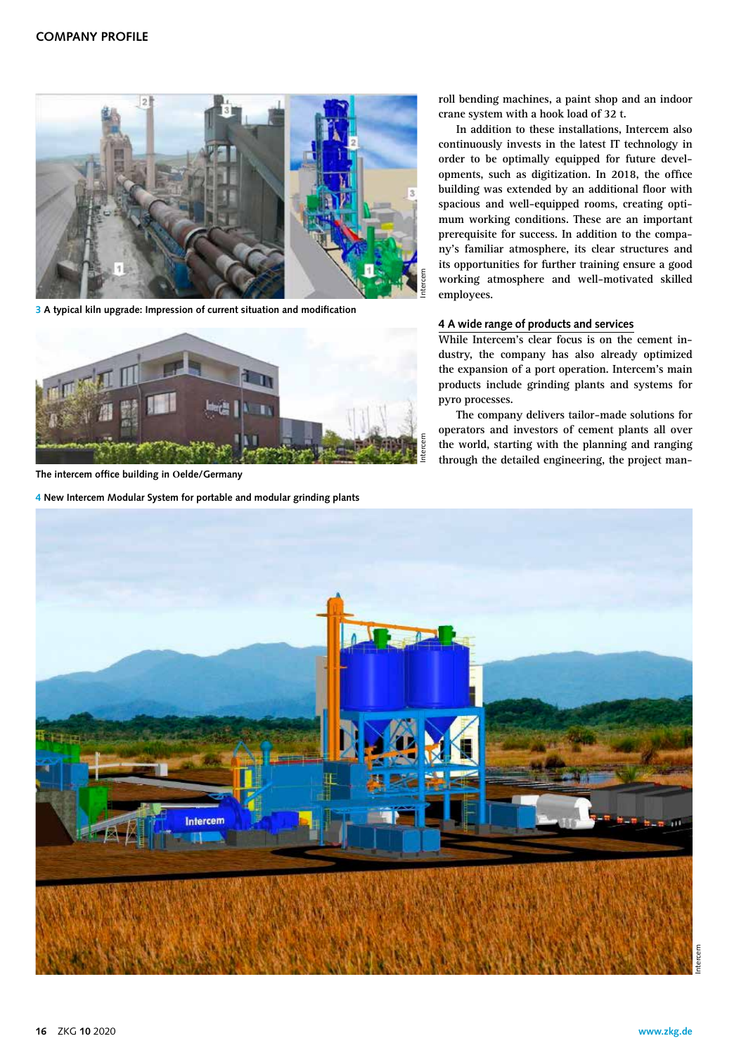

**3 A typical kiln upgrade: Impression of current situation and modification** 



**The intercem office building in Oelde/Germany**

**4 New Intercem Modular System for portable and modular grinding plants**

**roll bending machines, a paint shop and an indoor crane system with a hook load of 32 t.**

**In addition to these installations, Intercem also continuously invests in the latest IT technology in order to be optimally equipped for future developments, such as digitization. In 2018, the office building was extended by an additional floor with spacious and well-equipped rooms, creating optimum working conditions. These are an important prerequisite for success. In addition to the company's familiar atmosphere, its clear structures and its opportunities for further training ensure a good working atmosphere and well-motivated skilled employees.** 

## **4 A wide range of products and services**

**While Intercem's clear focus is on the cement industry, the company has also already optimized the expansion of a port operation. Intercem's main products include grinding plants and systems for pyro processes.** 

**The company delivers tailor-made solutions for operators and investors of cement plants all over the world, starting with the planning and ranging through the detailed engineering, the project man-**

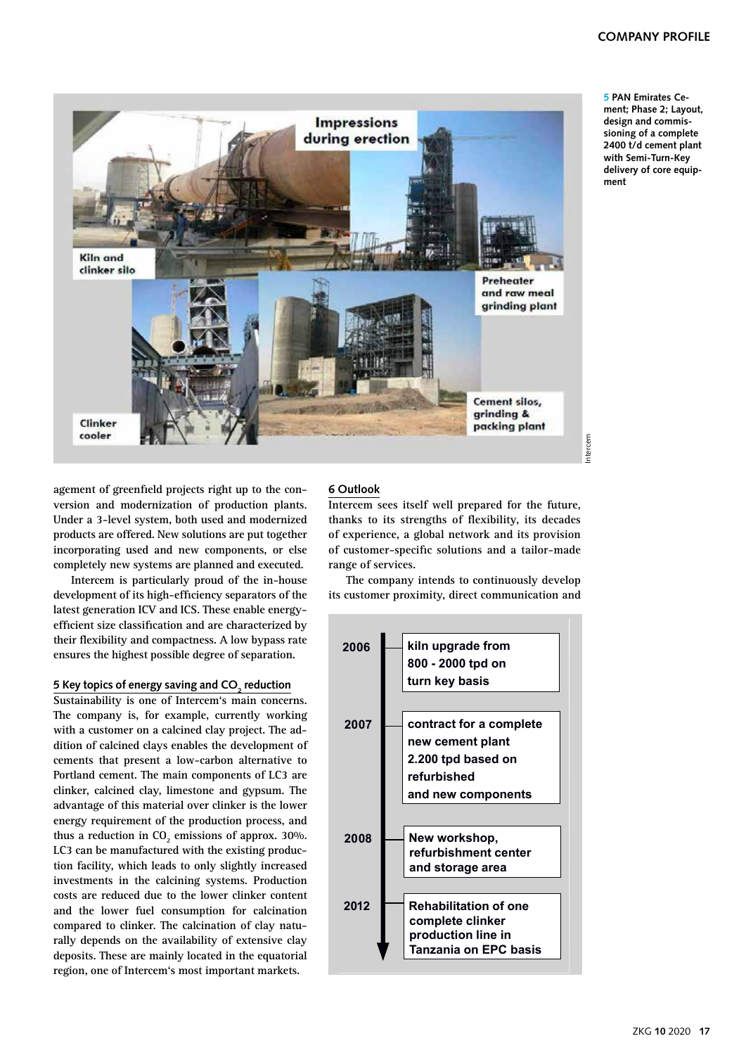

**5 PAN Emirates Cement; Phase 2; Layout, design and commissioning of a complete 2400 t/d cement plant with Semi-Turn-Key delivery of core equipment**

**agement of greenfield projects right up to the conversion and modernization of production plants. Under a 3-level system, both used and modernized products are offered. New solutions are put together incorporating used and new components, or else completely new systems are planned and executed.**

**Intercem is particularly proud of the in-house development of its high-efficiency separators of the latest generation ICV and ICS. These enable energyefficient size classification and are characterized by their flexibility and compactness. A low bypass rate ensures the highest possible degree of separation.**

## <u>Exel topics of energy saving and CO<sub>2</sub> reduction</u>

**Sustainability is one of Intercem's main concerns. The company is, for example, currently working with a customer on a calcined clay project. The addition of calcined clays enables the development of cements that present a low-carbon alternative to Portland cement. The main components of LC3 are clinker, calcined clay, limestone and gypsum. The advantage of this material over clinker is the lower energy requirement of the production process, and**  thus a reduction in CO<sub>2</sub> emissions of approx. 30%. **LC3 can be manufactured with the existing production facility, which leads to only slightly increased investments in the calcining systems. Production costs are reduced due to the lower clinker content and the lower fuel consumption for calcination compared to clinker. The calcination of clay naturally depends on the availability of extensive clay deposits. These are mainly located in the equatorial region, one of Intercem's most important markets.**

## **6 Outlook**

**Intercem sees itself well prepared for the future, thanks to its strengths of flexibility, its decades of experience, a global network and its provision of customer-specific solutions and a tailor-made range of services.** 

**History Milestones The company intends to continuously develop its customer proximity, direct communication and** 

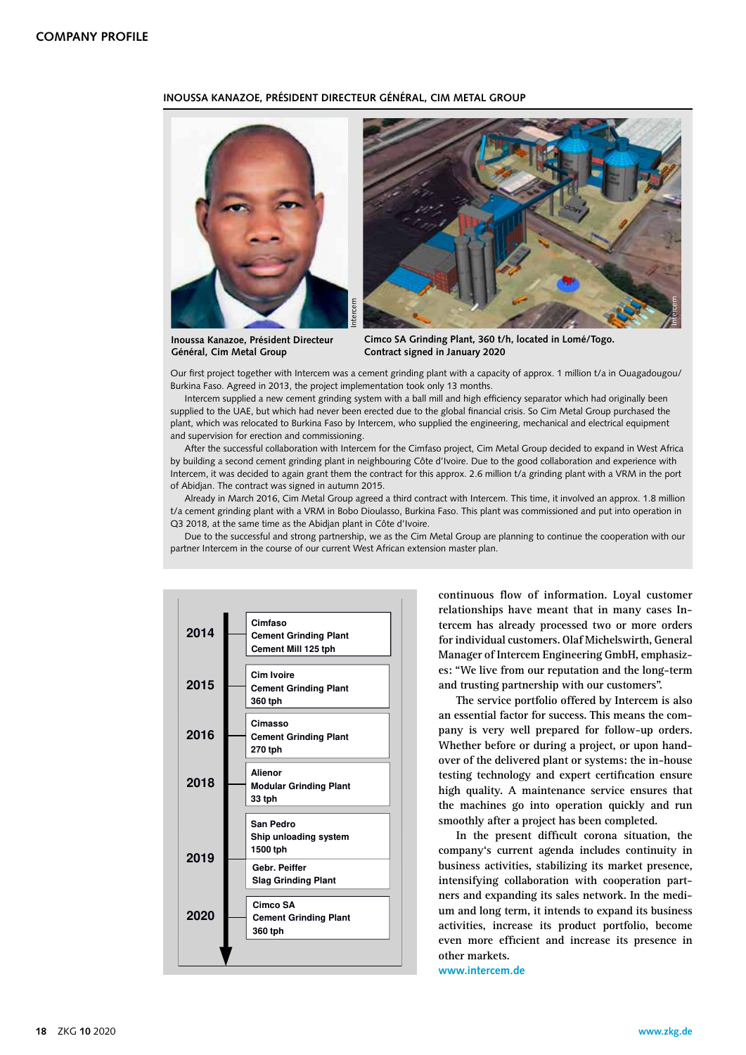## **INOUSSA KANAZOE, PRÉSIDENT DIRECTEUR GÉNÉRAL, CIM METAL GROUP**





**Inoussa Kanazoe, Président Directeur Général, Cim Metal Group**

**Cimco SA Grinding Plant, 360 t/h, located in Lomé/Togo. Contract signed in January 2020**

Our first project together with Intercem was a cement grinding plant with a capacity of approx. 1 million t/a in Ouagadougou/ Burkina Faso. Agreed in 2013, the project implementation took only 13 months.

Intercem supplied a new cement grinding system with a ball mill and high efficiency separator which had originally been supplied to the UAE, but which had never been erected due to the global financial crisis. So Cim Metal Group purchased the plant, which was relocated to Burkina Faso by Intercem, who supplied the engineering, mechanical and electrical equipment and supervision for erection and commissioning.

After the successful collaboration with Intercem for the Cimfaso project, Cim Metal Group decided to expand in West Africa by building a second cement grinding plant in neighbouring Côte d'Ivoire. Due to the good collaboration and experience with Intercem, it was decided to again grant them the contract for this approx. 2.6 million t/a grinding plant with a VRM in the port of Abidjan. The contract was signed in autumn 2015.

Already in March 2016, Cim Metal Group agreed a third contract with Intercem. This time, it involved an approx. 1.8 million t/a cement grinding plant with a VRM in Bobo Dioulasso, Burkina Faso. This plant was commissioned and put into operation in Q3 2018, at the same time as the Abidjan plant in Côte d'Ivoire.

**History Milestones** partner Intercem in the course of our current West African extension master plan. Due to the successful and strong partnership, we as the Cim Metal Group are planning to continue the cooperation with our



**continuous flow of information. Loyal customer relationships have meant that in many cases Intercem has already processed two or more orders for individual customers. Olaf Michelswirth, General Manager of Intercem Engineering GmbH, emphasizes: "We live from our reputation and the long-term and trusting partnership with our customers".**

**The service portfolio offered by Intercem is also an essential factor for success. This means the company is very well prepared for follow-up orders. Whether before or during a project, or upon handover of the delivered plant or systems: the in-house testing technology and expert certification ensure high quality. A maintenance service ensures that the machines go into operation quickly and run smoothly after a project has been completed.**

**In the present difficult corona situation, the company's current agenda includes continuity in business activities, stabilizing its market presence, intensifying collaboration with cooperation partners and expanding its sales network. In the medium and long term, it intends to expand its business activities, increase its product portfolio, become even more efficient and increase its presence in other markets.**

**www.intercem.de**